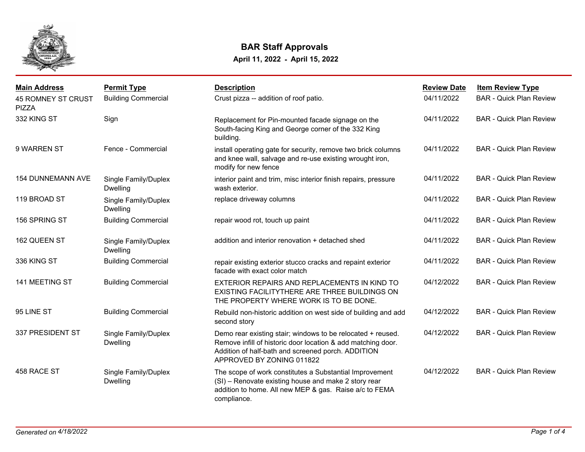

## **BAR Staff Approvals**

**April 11, 2022 - April 15, 2022**

| <b>Main Address</b>                       | <b>Permit Type</b>                      | <b>Description</b>                                                                                                                                                                                             | <b>Review Date</b> | <b>Item Review Type</b>        |
|-------------------------------------------|-----------------------------------------|----------------------------------------------------------------------------------------------------------------------------------------------------------------------------------------------------------------|--------------------|--------------------------------|
| <b>45 ROMNEY ST CRUST</b><br><b>PIZZA</b> | <b>Building Commercial</b>              | Crust pizza -- addition of roof patio.                                                                                                                                                                         | 04/11/2022         | <b>BAR - Quick Plan Review</b> |
| 332 KING ST                               | Sign                                    | Replacement for Pin-mounted facade signage on the<br>South-facing King and George corner of the 332 King<br>building.                                                                                          | 04/11/2022         | <b>BAR - Quick Plan Review</b> |
| 9 WARREN ST                               | Fence - Commercial                      | install operating gate for security, remove two brick columns<br>and knee wall, salvage and re-use existing wrought iron,<br>modify for new fence                                                              | 04/11/2022         | <b>BAR - Quick Plan Review</b> |
| <b>154 DUNNEMANN AVE</b>                  | Single Family/Duplex<br><b>Dwelling</b> | interior paint and trim, misc interior finish repairs, pressure<br>wash exterior.                                                                                                                              | 04/11/2022         | <b>BAR - Quick Plan Review</b> |
| 119 BROAD ST                              | Single Family/Duplex<br>Dwelling        | replace driveway columns                                                                                                                                                                                       | 04/11/2022         | <b>BAR - Quick Plan Review</b> |
| 156 SPRING ST                             | <b>Building Commercial</b>              | repair wood rot, touch up paint                                                                                                                                                                                | 04/11/2022         | <b>BAR - Quick Plan Review</b> |
| 162 QUEEN ST                              | Single Family/Duplex<br>Dwelling        | addition and interior renovation + detached shed                                                                                                                                                               | 04/11/2022         | <b>BAR - Quick Plan Review</b> |
| 336 KING ST                               | <b>Building Commercial</b>              | repair existing exterior stucco cracks and repaint exterior<br>facade with exact color match                                                                                                                   | 04/11/2022         | <b>BAR - Quick Plan Review</b> |
| 141 MEETING ST                            | <b>Building Commercial</b>              | EXTERIOR REPAIRS AND REPLACEMENTS IN KIND TO<br>EXISTING FACILITYTHERE ARE THREE BUILDINGS ON<br>THE PROPERTY WHERE WORK IS TO BE DONE.                                                                        | 04/12/2022         | <b>BAR - Quick Plan Review</b> |
| 95 LINE ST                                | <b>Building Commercial</b>              | Rebuild non-historic addition on west side of building and add<br>second story                                                                                                                                 | 04/12/2022         | <b>BAR - Quick Plan Review</b> |
| 337 PRESIDENT ST                          | Single Family/Duplex<br><b>Dwelling</b> | Demo rear existing stair; windows to be relocated + reused.<br>Remove infill of historic door location & add matching door.<br>Addition of half-bath and screened porch. ADDITION<br>APPROVED BY ZONING 011822 | 04/12/2022         | <b>BAR - Quick Plan Review</b> |
| 458 RACE ST                               | Single Family/Duplex<br><b>Dwelling</b> | The scope of work constitutes a Substantial Improvement<br>(SI) - Renovate existing house and make 2 story rear<br>addition to home. All new MEP & gas. Raise a/c to FEMA<br>compliance.                       | 04/12/2022         | <b>BAR - Quick Plan Review</b> |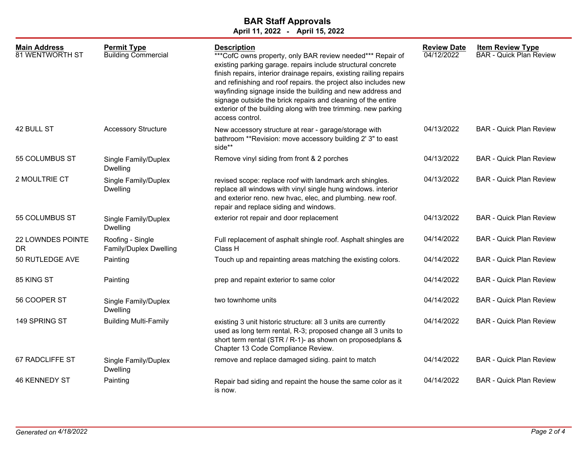## **BAR Staff Approvals**

**April 11, 2022 - April 15, 2022**

| <b>Main Address</b><br><b>81 WENTWORTH ST</b> | <b>Permit Type</b><br><b>Building Commercial</b> | <b>Description</b><br>*** CofC owns property, only BAR review needed*** Repair of<br>existing parking garage. repairs include structural concrete<br>finish repairs, interior drainage repairs, existing railing repairs<br>and refinishing and roof repairs. the project also includes new<br>wayfinding signage inside the building and new address and<br>signage outside the brick repairs and cleaning of the entire<br>exterior of the building along with tree trimming. new parking<br>access control. | <b>Review Date</b><br>04/12/2022 | <b>Item Review Type</b><br><b>BAR - Quick Plan Review</b> |
|-----------------------------------------------|--------------------------------------------------|----------------------------------------------------------------------------------------------------------------------------------------------------------------------------------------------------------------------------------------------------------------------------------------------------------------------------------------------------------------------------------------------------------------------------------------------------------------------------------------------------------------|----------------------------------|-----------------------------------------------------------|
| 42 BULL ST                                    | <b>Accessory Structure</b>                       | New accessory structure at rear - garage/storage with<br>bathroom **Revision: move accessory building 2' 3" to east<br>side**                                                                                                                                                                                                                                                                                                                                                                                  | 04/13/2022                       | <b>BAR - Quick Plan Review</b>                            |
| 55 COLUMBUS ST                                | Single Family/Duplex<br>Dwelling                 | Remove vinyl siding from front & 2 porches                                                                                                                                                                                                                                                                                                                                                                                                                                                                     | 04/13/2022                       | <b>BAR - Quick Plan Review</b>                            |
| 2 MOULTRIE CT                                 | Single Family/Duplex<br><b>Dwelling</b>          | revised scope: replace roof with landmark arch shingles.<br>replace all windows with vinyl single hung windows. interior<br>and exterior reno. new hvac, elec, and plumbing. new roof.<br>repair and replace siding and windows.                                                                                                                                                                                                                                                                               | 04/13/2022                       | <b>BAR - Quick Plan Review</b>                            |
| 55 COLUMBUS ST                                | Single Family/Duplex<br><b>Dwelling</b>          | exterior rot repair and door replacement                                                                                                                                                                                                                                                                                                                                                                                                                                                                       | 04/13/2022                       | <b>BAR - Quick Plan Review</b>                            |
| 22 LOWNDES POINTE<br>DR                       | Roofing - Single<br>Family/Duplex Dwelling       | Full replacement of asphalt shingle roof. Asphalt shingles are<br>Class H                                                                                                                                                                                                                                                                                                                                                                                                                                      | 04/14/2022                       | <b>BAR - Quick Plan Review</b>                            |
| 50 RUTLEDGE AVE                               | Painting                                         | Touch up and repainting areas matching the existing colors.                                                                                                                                                                                                                                                                                                                                                                                                                                                    | 04/14/2022                       | <b>BAR - Quick Plan Review</b>                            |
| 85 KING ST                                    | Painting                                         | prep and repaint exterior to same color                                                                                                                                                                                                                                                                                                                                                                                                                                                                        | 04/14/2022                       | <b>BAR - Quick Plan Review</b>                            |
| 56 COOPER ST                                  | Single Family/Duplex<br><b>Dwelling</b>          | two townhome units                                                                                                                                                                                                                                                                                                                                                                                                                                                                                             | 04/14/2022                       | <b>BAR - Quick Plan Review</b>                            |
| 149 SPRING ST                                 | <b>Building Multi-Family</b>                     | existing 3 unit historic structure: all 3 units are currently<br>used as long term rental, R-3; proposed change all 3 units to<br>short term rental (STR / R-1)- as shown on proposedplans &<br>Chapter 13 Code Compliance Review.                                                                                                                                                                                                                                                                             | 04/14/2022                       | <b>BAR - Quick Plan Review</b>                            |
| 67 RADCLIFFE ST                               | Single Family/Duplex<br><b>Dwelling</b>          | remove and replace damaged siding. paint to match                                                                                                                                                                                                                                                                                                                                                                                                                                                              | 04/14/2022                       | <b>BAR - Quick Plan Review</b>                            |
| <b>46 KENNEDY ST</b>                          | Painting                                         | Repair bad siding and repaint the house the same color as it<br>is now.                                                                                                                                                                                                                                                                                                                                                                                                                                        | 04/14/2022                       | <b>BAR - Quick Plan Review</b>                            |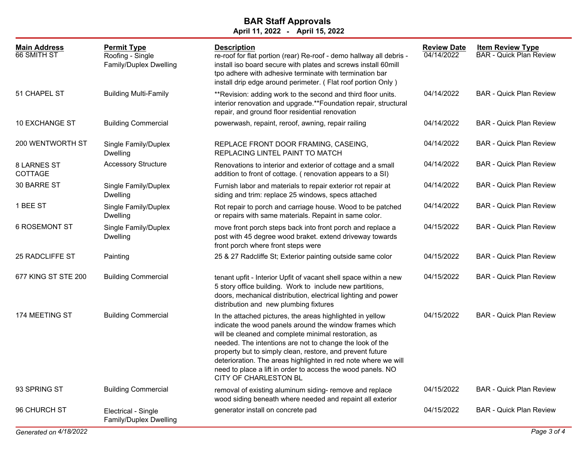## **April 11, 2022 - April 15, 2022 BAR Staff Approvals**

| <b>Main Address</b><br>66 SMITH ST | <b>Permit Type</b><br>Roofing - Single<br>Family/Duplex Dwelling | <b>Description</b><br>re-roof for flat portion (rear) Re-roof - demo hallway all debris -<br>install iso board secure with plates and screws install 60mill<br>tpo adhere with adhesive terminate with termination bar<br>install drip edge around perimeter. (Flat roof portion Only)                                                                                                                                                                                 | <b>Review Date</b><br>04/14/2022 | <b>Item Review Type</b><br><b>BAR - Quick Plan Review</b> |
|------------------------------------|------------------------------------------------------------------|------------------------------------------------------------------------------------------------------------------------------------------------------------------------------------------------------------------------------------------------------------------------------------------------------------------------------------------------------------------------------------------------------------------------------------------------------------------------|----------------------------------|-----------------------------------------------------------|
| 51 CHAPEL ST                       | <b>Building Multi-Family</b>                                     | ** Revision: adding work to the second and third floor units.<br>interior renovation and upgrade.**Foundation repair, structural<br>repair, and ground floor residential renovation                                                                                                                                                                                                                                                                                    | 04/14/2022                       | <b>BAR - Quick Plan Review</b>                            |
| 10 EXCHANGE ST                     | <b>Building Commercial</b>                                       | powerwash, repaint, reroof, awning, repair railing                                                                                                                                                                                                                                                                                                                                                                                                                     | 04/14/2022                       | <b>BAR</b> - Quick Plan Review                            |
| <b>200 WENTWORTH ST</b>            | Single Family/Duplex<br><b>Dwelling</b>                          | REPLACE FRONT DOOR FRAMING, CASEING,<br>REPLACING LINTEL PAINT TO MATCH                                                                                                                                                                                                                                                                                                                                                                                                | 04/14/2022                       | <b>BAR</b> - Quick Plan Review                            |
| <b>8 LARNES ST</b><br>COTTAGE      | <b>Accessory Structure</b>                                       | Renovations to interior and exterior of cottage and a small<br>addition to front of cottage. (renovation appears to a SI)                                                                                                                                                                                                                                                                                                                                              | 04/14/2022                       | <b>BAR</b> - Quick Plan Review                            |
| 30 BARRE ST                        | Single Family/Duplex<br><b>Dwelling</b>                          | Furnish labor and materials to repair exterior rot repair at<br>siding and trim: replace 25 windows, specs attached                                                                                                                                                                                                                                                                                                                                                    | 04/14/2022                       | <b>BAR</b> - Quick Plan Review                            |
| 1 BEE ST                           | Single Family/Duplex<br><b>Dwelling</b>                          | Rot repair to porch and carriage house. Wood to be patched<br>or repairs with same materials. Repaint in same color.                                                                                                                                                                                                                                                                                                                                                   | 04/14/2022                       | <b>BAR - Quick Plan Review</b>                            |
| <b>6 ROSEMONT ST</b>               | Single Family/Duplex<br><b>Dwelling</b>                          | move front porch steps back into front porch and replace a<br>post with 45 degree wood braket. extend driveway towards<br>front porch where front steps were                                                                                                                                                                                                                                                                                                           | 04/15/2022                       | <b>BAR - Quick Plan Review</b>                            |
| 25 RADCLIFFE ST                    | Painting                                                         | 25 & 27 Radcliffe St; Exterior painting outside same color                                                                                                                                                                                                                                                                                                                                                                                                             | 04/15/2022                       | <b>BAR</b> - Quick Plan Review                            |
| 677 KING ST STE 200                | <b>Building Commercial</b>                                       | tenant upfit - Interior Upfit of vacant shell space within a new<br>5 story office building. Work to include new partitions,<br>doors, mechanical distribution, electrical lighting and power<br>distribution and new plumbing fixtures                                                                                                                                                                                                                                | 04/15/2022                       | <b>BAR</b> - Quick Plan Review                            |
| 174 MEETING ST                     | <b>Building Commercial</b>                                       | In the attached pictures, the areas highlighted in yellow<br>indicate the wood panels around the window frames which<br>will be cleaned and complete minimal restoration, as<br>needed. The intentions are not to change the look of the<br>property but to simply clean, restore, and prevent future<br>deterioration. The areas highlighted in red note where we will<br>need to place a lift in order to access the wood panels. NO<br><b>CITY OF CHARLESTON BL</b> | 04/15/2022                       | <b>BAR - Quick Plan Review</b>                            |
| 93 SPRING ST                       | <b>Building Commercial</b>                                       | removal of existing aluminum siding- remove and replace<br>wood siding beneath where needed and repaint all exterior                                                                                                                                                                                                                                                                                                                                                   | 04/15/2022                       | <b>BAR - Quick Plan Review</b>                            |
| 96 CHURCH ST                       | Electrical - Single<br>Family/Duplex Dwelling                    | generator install on concrete pad                                                                                                                                                                                                                                                                                                                                                                                                                                      | 04/15/2022                       | <b>BAR</b> - Quick Plan Review                            |